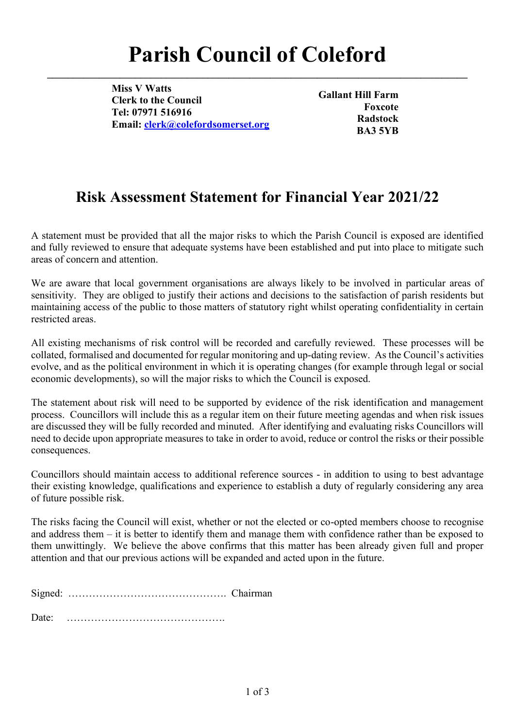**\_\_\_\_\_\_\_\_\_\_\_\_\_\_\_\_\_\_\_\_\_\_\_\_\_\_\_\_\_\_\_\_\_\_\_\_\_\_\_\_\_\_\_\_\_\_\_\_\_\_\_\_\_\_\_\_\_\_\_\_\_\_\_\_\_\_\_\_\_\_\_\_\_\_\_\_\_\_\_\_\_**

**Miss V Watts Clerk to the Council Tel: 07971 516916 Email: [clerk@colefordsomerset.org](mailto:clerk@colefordsomerset.org)**

**Gallant Hill Farm Foxcote Radstock BA3 5YB**

### **Risk Assessment Statement for Financial Year 2021/22**

A statement must be provided that all the major risks to which the Parish Council is exposed are identified and fully reviewed to ensure that adequate systems have been established and put into place to mitigate such areas of concern and attention.

We are aware that local government organisations are always likely to be involved in particular areas of sensitivity. They are obliged to justify their actions and decisions to the satisfaction of parish residents but maintaining access of the public to those matters of statutory right whilst operating confidentiality in certain restricted areas.

All existing mechanisms of risk control will be recorded and carefully reviewed. These processes will be collated, formalised and documented for regular monitoring and up-dating review. As the Council's activities evolve, and as the political environment in which it is operating changes (for example through legal or social economic developments), so will the major risks to which the Council is exposed.

The statement about risk will need to be supported by evidence of the risk identification and management process. Councillors will include this as a regular item on their future meeting agendas and when risk issues are discussed they will be fully recorded and minuted. After identifying and evaluating risks Councillors will need to decide upon appropriate measures to take in order to avoid, reduce or control the risks or their possible consequences.

Councillors should maintain access to additional reference sources - in addition to using to best advantage their existing knowledge, qualifications and experience to establish a duty of regularly considering any area of future possible risk.

The risks facing the Council will exist, whether or not the elected or co-opted members choose to recognise and address them – it is better to identify them and manage them with confidence rather than be exposed to them unwittingly. We believe the above confirms that this matter has been already given full and proper attention and that our previous actions will be expanded and acted upon in the future.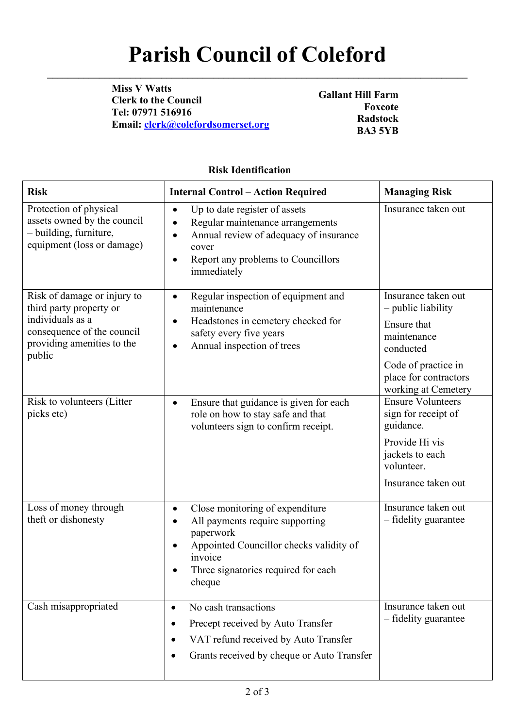**\_\_\_\_\_\_\_\_\_\_\_\_\_\_\_\_\_\_\_\_\_\_\_\_\_\_\_\_\_\_\_\_\_\_\_\_\_\_\_\_\_\_\_\_\_\_\_\_\_\_\_\_\_\_\_\_\_\_\_\_\_\_\_\_\_\_\_\_\_\_\_\_\_\_\_\_\_\_\_\_\_**

**Miss V Watts Clerk to the Council Tel: 07971 516916 Email: [clerk@colefordsomerset.org](mailto:clerk@colefordsomerset.org)**

**Gallant Hill Farm Foxcote Radstock BA3 5YB**

### **Risk Identification**

| <b>Risk</b>                                                                                                                                      | <b>Internal Control - Action Required</b>                                                                                                                                                                                     | <b>Managing Risk</b>                                                                                                                                        |
|--------------------------------------------------------------------------------------------------------------------------------------------------|-------------------------------------------------------------------------------------------------------------------------------------------------------------------------------------------------------------------------------|-------------------------------------------------------------------------------------------------------------------------------------------------------------|
| Protection of physical<br>assets owned by the council<br>- building, furniture,<br>equipment (loss or damage)                                    | Up to date register of assets<br>$\bullet$<br>Regular maintenance arrangements<br>$\bullet$<br>Annual review of adequacy of insurance<br>$\bullet$<br>cover<br>Report any problems to Councillors<br>$\bullet$<br>immediately | Insurance taken out                                                                                                                                         |
| Risk of damage or injury to<br>third party property or<br>individuals as a<br>consequence of the council<br>providing amenities to the<br>public | Regular inspection of equipment and<br>$\bullet$<br>maintenance<br>Headstones in cemetery checked for<br>$\bullet$<br>safety every five years<br>Annual inspection of trees<br>$\bullet$                                      | Insurance taken out<br>- public liability<br>Ensure that<br>maintenance<br>conducted<br>Code of practice in<br>place for contractors<br>working at Cemetery |
| Risk to volunteers (Litter<br>picks etc)                                                                                                         | Ensure that guidance is given for each<br>$\bullet$<br>role on how to stay safe and that<br>volunteers sign to confirm receipt.                                                                                               | <b>Ensure Volunteers</b><br>sign for receipt of<br>guidance.<br>Provide Hi vis<br>jackets to each<br>volunteer.<br>Insurance taken out                      |
| Loss of money through<br>theft or dishonesty                                                                                                     | Close monitoring of expenditure<br>$\bullet$<br>All payments require supporting<br>paperwork<br>Appointed Councillor checks validity of<br>invoice<br>Three signatories required for each<br>cheque                           | Insurance taken out<br>- fidelity guarantee                                                                                                                 |
| Cash misappropriated                                                                                                                             | No cash transactions<br>$\bullet$<br>Precept received by Auto Transfer<br>VAT refund received by Auto Transfer<br>٠<br>Grants received by cheque or Auto Transfer                                                             | Insurance taken out<br>- fidelity guarantee                                                                                                                 |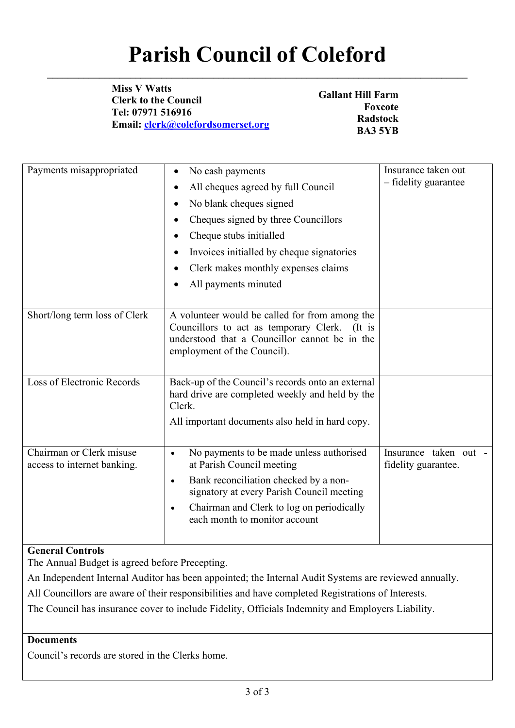**\_\_\_\_\_\_\_\_\_\_\_\_\_\_\_\_\_\_\_\_\_\_\_\_\_\_\_\_\_\_\_\_\_\_\_\_\_\_\_\_\_\_\_\_\_\_\_\_\_\_\_\_\_\_\_\_\_\_\_\_\_\_\_\_\_\_\_\_\_\_\_\_\_\_\_\_\_\_\_\_\_**

**Miss V Watts Clerk to the Council Tel: 07971 516916 Email: [clerk@colefordsomerset.org](mailto:clerk@colefordsomerset.org)**

**Gallant Hill Farm Foxcote Radstock BA3 5YB**

| Payments misappropriated                                |                                                                                                                                                                                 | Insurance taken out                          |
|---------------------------------------------------------|---------------------------------------------------------------------------------------------------------------------------------------------------------------------------------|----------------------------------------------|
|                                                         | No cash payments<br>$\bullet$                                                                                                                                                   |                                              |
|                                                         | All cheques agreed by full Council                                                                                                                                              | - fidelity guarantee                         |
|                                                         | No blank cheques signed<br>٠                                                                                                                                                    |                                              |
|                                                         | Cheques signed by three Councillors                                                                                                                                             |                                              |
|                                                         | Cheque stubs initialled                                                                                                                                                         |                                              |
|                                                         | Invoices initialled by cheque signatories<br>$\bullet$                                                                                                                          |                                              |
|                                                         | Clerk makes monthly expenses claims                                                                                                                                             |                                              |
|                                                         | All payments minuted<br>$\bullet$                                                                                                                                               |                                              |
|                                                         |                                                                                                                                                                                 |                                              |
| Short/long term loss of Clerk                           | A volunteer would be called for from among the<br>Councillors to act as temporary Clerk. (It is<br>understood that a Councillor cannot be in the<br>employment of the Council). |                                              |
| Loss of Electronic Records                              | Back-up of the Council's records onto an external<br>hard drive are completed weekly and held by the<br>Clerk.                                                                  |                                              |
|                                                         | All important documents also held in hard copy.                                                                                                                                 |                                              |
| Chairman or Clerk misuse<br>access to internet banking. | No payments to be made unless authorised<br>$\bullet$<br>at Parish Council meeting                                                                                              | Insurance taken out -<br>fidelity guarantee. |
|                                                         | Bank reconciliation checked by a non-<br>$\bullet$<br>signatory at every Parish Council meeting                                                                                 |                                              |
|                                                         | Chairman and Clerk to log on periodically<br>$\bullet$<br>each month to monitor account                                                                                         |                                              |

### **General Controls**

The Annual Budget is agreed before Precepting.

An Independent Internal Auditor has been appointed; the Internal Audit Systems are reviewed annually.

All Councillors are aware of their responsibilities and have completed Registrations of Interests.

The Council has insurance cover to include Fidelity, Officials Indemnity and Employers Liability.

#### **Documents**

Council's records are stored in the Clerks home.